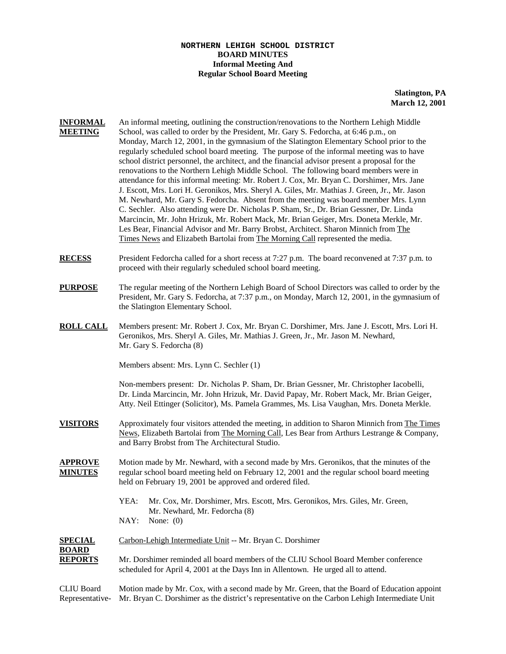## **NORTHERN LEHIGH SCHOOL DISTRICT BOARD MINUTES Informal Meeting And Regular School Board Meeting**

**Slatington, PA March 12, 2001**

- **INFORMAL** An informal meeting, outlining the construction/renovations to the Northern Lehigh Middle **MEETING** School, was called to order by the President, Mr. Gary S. Fedorcha, at 6:46 p.m., on Monday, March 12, 2001, in the gymnasium of the Slatington Elementary School prior to the regularly scheduled school board meeting. The purpose of the informal meeting was to have school district personnel, the architect, and the financial advisor present a proposal for the renovations to the Northern Lehigh Middle School. The following board members were in attendance for this informal meeting: Mr. Robert J. Cox, Mr. Bryan C. Dorshimer, Mrs. Jane J. Escott, Mrs. Lori H. Geronikos, Mrs. Sheryl A. Giles, Mr. Mathias J. Green, Jr., Mr. Jason M. Newhard, Mr. Gary S. Fedorcha. Absent from the meeting was board member Mrs. Lynn C. Sechler. Also attending were Dr. Nicholas P. Sham, Sr., Dr. Brian Gessner, Dr. Linda Marcincin, Mr. John Hrizuk, Mr. Robert Mack, Mr. Brian Geiger, Mrs. Doneta Merkle, Mr. Les Bear, Financial Advisor and Mr. Barry Brobst, Architect. Sharon Minnich from The Times News and Elizabeth Bartolai from The Morning Call represented the media.
- **RECESS** President Fedorcha called for a short recess at 7:27 p.m. The board reconvened at 7:37 p.m. to proceed with their regularly scheduled school board meeting.
- **PURPOSE** The regular meeting of the Northern Lehigh Board of School Directors was called to order by the President, Mr. Gary S. Fedorcha, at 7:37 p.m., on Monday, March 12, 2001, in the gymnasium of the Slatington Elementary School.
- **ROLL CALL** Members present: Mr. Robert J. Cox, Mr. Bryan C. Dorshimer, Mrs. Jane J. Escott, Mrs. Lori H. Geronikos, Mrs. Sheryl A. Giles, Mr. Mathias J. Green, Jr., Mr. Jason M. Newhard, Mr. Gary S. Fedorcha (8)

Members absent: Mrs. Lynn C. Sechler (1)

Non-members present: Dr. Nicholas P. Sham, Dr. Brian Gessner, Mr. Christopher Iacobelli, Dr. Linda Marcincin, Mr. John Hrizuk, Mr. David Papay, Mr. Robert Mack, Mr. Brian Geiger, Atty. Neil Ettinger (Solicitor), Ms. Pamela Grammes, Ms. Lisa Vaughan, Mrs. Doneta Merkle.

- **VISITORS** Approximately four visitors attended the meeting, in addition to Sharon Minnich from The Times News, Elizabeth Bartolai from The Morning Call, Les Bear from Arthurs Lestrange & Company, and Barry Brobst from The Architectural Studio.
- **APPROVE** Motion made by Mr. Newhard, with a second made by Mrs. Geronikos, that the minutes of the **MINUTES** regular school board meeting held on February 12, 2001 and the regular school board meeting held on February 19, 2001 be approved and ordered filed.
	- YEA: Mr. Cox, Mr. Dorshimer, Mrs. Escott, Mrs. Geronikos, Mrs. Giles, Mr. Green, Mr. Newhard, Mr. Fedorcha (8)
	- NAY: None: (0)

| Mr. Dorshimer reminded all board members of the CLIU School Board Member conference<br>scheduled for April 4, 2001 at the Days Inn in Allentown. He urged all to attend. |
|--------------------------------------------------------------------------------------------------------------------------------------------------------------------------|
|                                                                                                                                                                          |

CLIU Board Motion made by Mr. Cox, with a second made by Mr. Green, that the Board of Education appoint Representative- Mr. Bryan C. Dorshimer as the district's representative on the Carbon Lehigh Intermediate Unit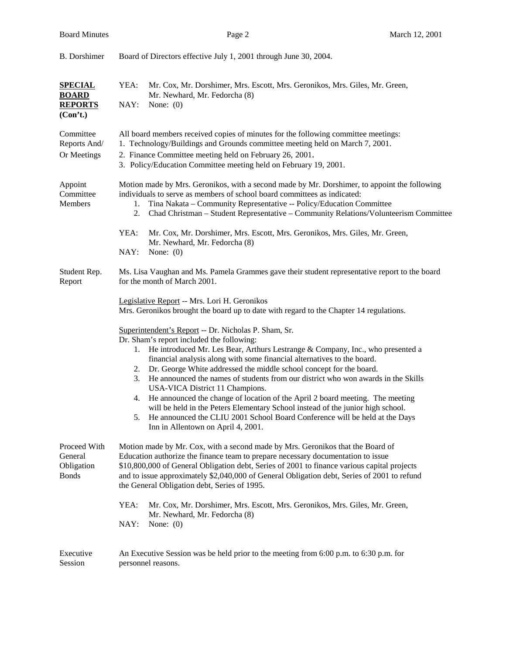| <b>B.</b> Dorshimer                                          | Board of Directors effective July 1, 2001 through June 30, 2004.                                                                                                                                                                                                                                                                                                                                                                                                                                                                                                                                                                                                                                                                                                            |  |  |
|--------------------------------------------------------------|-----------------------------------------------------------------------------------------------------------------------------------------------------------------------------------------------------------------------------------------------------------------------------------------------------------------------------------------------------------------------------------------------------------------------------------------------------------------------------------------------------------------------------------------------------------------------------------------------------------------------------------------------------------------------------------------------------------------------------------------------------------------------------|--|--|
| <b>SPECIAL</b><br><b>BOARD</b><br><b>REPORTS</b><br>(Con't.) | YEA:<br>Mr. Cox, Mr. Dorshimer, Mrs. Escott, Mrs. Geronikos, Mrs. Giles, Mr. Green,<br>Mr. Newhard, Mr. Fedorcha (8)<br>NAY:<br>None: $(0)$                                                                                                                                                                                                                                                                                                                                                                                                                                                                                                                                                                                                                                 |  |  |
| Committee<br>Reports And/<br>Or Meetings                     | All board members received copies of minutes for the following committee meetings:<br>1. Technology/Buildings and Grounds committee meeting held on March 7, 2001.<br>2. Finance Committee meeting held on February 26, 2001.<br>3. Policy/Education Committee meeting held on February 19, 2001.                                                                                                                                                                                                                                                                                                                                                                                                                                                                           |  |  |
| Appoint<br>Committee<br>Members                              | Motion made by Mrs. Geronikos, with a second made by Mr. Dorshimer, to appoint the following<br>individuals to serve as members of school board committees as indicated:<br>Tina Nakata - Community Representative -- Policy/Education Committee<br>1.<br>Chad Christman - Student Representative - Community Relations/Volunteerism Committee<br>2.                                                                                                                                                                                                                                                                                                                                                                                                                        |  |  |
|                                                              | YEA:<br>Mr. Cox, Mr. Dorshimer, Mrs. Escott, Mrs. Geronikos, Mrs. Giles, Mr. Green,<br>Mr. Newhard, Mr. Fedorcha (8)<br>NAY:<br>None: $(0)$                                                                                                                                                                                                                                                                                                                                                                                                                                                                                                                                                                                                                                 |  |  |
| Student Rep.<br>Report                                       | Ms. Lisa Vaughan and Ms. Pamela Grammes gave their student representative report to the board<br>for the month of March 2001.<br>Legislative Report -- Mrs. Lori H. Geronikos<br>Mrs. Geronikos brought the board up to date with regard to the Chapter 14 regulations.                                                                                                                                                                                                                                                                                                                                                                                                                                                                                                     |  |  |
|                                                              | Superintendent's Report -- Dr. Nicholas P. Sham, Sr.<br>Dr. Sham's report included the following:<br>1. He introduced Mr. Les Bear, Arthurs Lestrange & Company, Inc., who presented a<br>financial analysis along with some financial alternatives to the board.<br>2. Dr. George White addressed the middle school concept for the board.<br>He announced the names of students from our district who won awards in the Skills<br>3.<br>USA-VICA District 11 Champions.<br>4. He announced the change of location of the April 2 board meeting. The meeting<br>will be held in the Peters Elementary School instead of the junior high school.<br>He announced the CLIU 2001 School Board Conference will be held at the Days<br>5.<br>Inn in Allentown on April 4, 2001. |  |  |
| Proceed With<br>General<br>Obligation<br><b>Bonds</b>        | Motion made by Mr. Cox, with a second made by Mrs. Geronikos that the Board of<br>Education authorize the finance team to prepare necessary documentation to issue<br>\$10,800,000 of General Obligation debt, Series of 2001 to finance various capital projects<br>and to issue approximately \$2,040,000 of General Obligation debt, Series of 2001 to refund<br>the General Obligation debt, Series of 1995.                                                                                                                                                                                                                                                                                                                                                            |  |  |
|                                                              | YEA:<br>Mr. Cox, Mr. Dorshimer, Mrs. Escott, Mrs. Geronikos, Mrs. Giles, Mr. Green,<br>Mr. Newhard, Mr. Fedorcha (8)<br>NAY:<br>None: $(0)$                                                                                                                                                                                                                                                                                                                                                                                                                                                                                                                                                                                                                                 |  |  |
| Executive<br>Session                                         | An Executive Session was be held prior to the meeting from $6:00$ p.m. to $6:30$ p.m. for<br>personnel reasons.                                                                                                                                                                                                                                                                                                                                                                                                                                                                                                                                                                                                                                                             |  |  |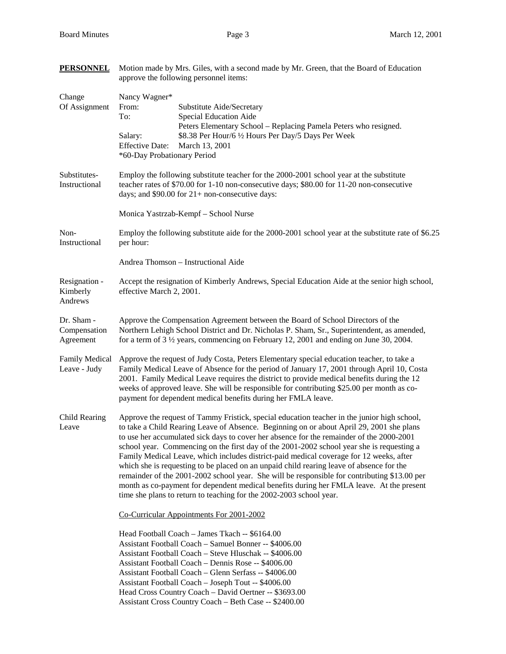**PERSONNEL** Motion made by Mrs. Giles, with a second made by Mr. Green, that the Board of Education

|                                         | approve the following personnel items:                                                                                                                                                                                                                                                                                                                                                                                                                                                                                                                                                                                                                                                                                                                                                                                                     |  |  |
|-----------------------------------------|--------------------------------------------------------------------------------------------------------------------------------------------------------------------------------------------------------------------------------------------------------------------------------------------------------------------------------------------------------------------------------------------------------------------------------------------------------------------------------------------------------------------------------------------------------------------------------------------------------------------------------------------------------------------------------------------------------------------------------------------------------------------------------------------------------------------------------------------|--|--|
| Change<br>Of Assignment                 | Nancy Wagner*<br>From:<br>Substitute Aide/Secretary<br>To:<br>Special Education Aide<br>Peters Elementary School - Replacing Pamela Peters who resigned.<br>\$8.38 Per Hour/6 1/2 Hours Per Day/5 Days Per Week<br>Salary:<br><b>Effective Date:</b><br>March 13, 2001<br>*60-Day Probationary Period                                                                                                                                                                                                                                                                                                                                                                                                                                                                                                                                      |  |  |
| Substitutes-<br>Instructional           | Employ the following substitute teacher for the 2000-2001 school year at the substitute<br>teacher rates of \$70.00 for 1-10 non-consecutive days; \$80.00 for 11-20 non-consecutive<br>days; and $$90.00$ for $21+$ non-consecutive days:                                                                                                                                                                                                                                                                                                                                                                                                                                                                                                                                                                                                 |  |  |
|                                         | Monica Yastrzab-Kempf - School Nurse                                                                                                                                                                                                                                                                                                                                                                                                                                                                                                                                                                                                                                                                                                                                                                                                       |  |  |
| Non-<br>Instructional                   | Employ the following substitute aide for the 2000-2001 school year at the substitute rate of \$6.25<br>per hour:                                                                                                                                                                                                                                                                                                                                                                                                                                                                                                                                                                                                                                                                                                                           |  |  |
|                                         | Andrea Thomson - Instructional Aide                                                                                                                                                                                                                                                                                                                                                                                                                                                                                                                                                                                                                                                                                                                                                                                                        |  |  |
| Resignation -<br>Kimberly<br>Andrews    | Accept the resignation of Kimberly Andrews, Special Education Aide at the senior high school,<br>effective March 2, 2001.                                                                                                                                                                                                                                                                                                                                                                                                                                                                                                                                                                                                                                                                                                                  |  |  |
| Dr. Sham -<br>Compensation<br>Agreement | Approve the Compensation Agreement between the Board of School Directors of the<br>Northern Lehigh School District and Dr. Nicholas P. Sham, Sr., Superintendent, as amended,<br>for a term of $3\frac{1}{2}$ years, commencing on February 12, 2001 and ending on June 30, 2004.                                                                                                                                                                                                                                                                                                                                                                                                                                                                                                                                                          |  |  |
| <b>Family Medical</b><br>Leave - Judy   | Approve the request of Judy Costa, Peters Elementary special education teacher, to take a<br>Family Medical Leave of Absence for the period of January 17, 2001 through April 10, Costa<br>2001. Family Medical Leave requires the district to provide medical benefits during the 12<br>weeks of approved leave. She will be responsible for contributing \$25.00 per month as co-<br>payment for dependent medical benefits during her FMLA leave.                                                                                                                                                                                                                                                                                                                                                                                       |  |  |
| Child Rearing<br>Leave                  | Approve the request of Tammy Fristick, special education teacher in the junior high school,<br>to take a Child Rearing Leave of Absence. Beginning on or about April 29, 2001 she plans<br>to use her accumulated sick days to cover her absence for the remainder of the 2000-2001<br>school year. Commencing on the first day of the 2001-2002 school year she is requesting a<br>Family Medical Leave, which includes district-paid medical coverage for 12 weeks, after<br>which she is requesting to be placed on an unpaid child rearing leave of absence for the<br>remainder of the 2001-2002 school year. She will be responsible for contributing \$13.00 per<br>month as co-payment for dependent medical benefits during her FMLA leave. At the present<br>time she plans to return to teaching for the 2002-2003 school year. |  |  |
|                                         | Co-Curricular Appointments For 2001-2002                                                                                                                                                                                                                                                                                                                                                                                                                                                                                                                                                                                                                                                                                                                                                                                                   |  |  |
|                                         | Head Football Coach - James Tkach -- \$6164.00<br>Assistant Football Coach - Samuel Bonner -- \$4006.00<br>Assistant Football Coach - Steve Hluschak -- \$4006.00<br>Assistant Football Coach - Dennis Rose -- \$4006.00<br>Assistant Football Coach - Glenn Serfass -- \$4006.00<br>Assistant Football Coach - Joseph Tout -- \$4006.00<br>Head Cross Country Coach - David Oertner -- \$3693.00<br>Assistant Cross Country Coach - Beth Case -- \$2400.00                                                                                                                                                                                                                                                                                                                                                                                |  |  |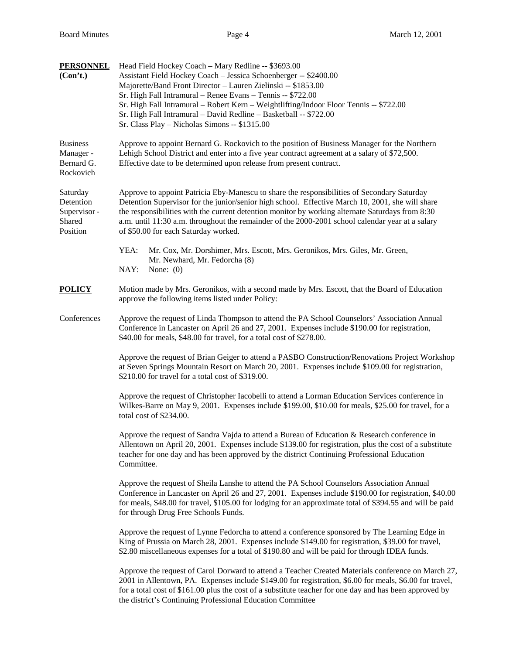| <b>PERSONNEL</b><br>(Con't.)                                | Head Field Hockey Coach - Mary Redline -- \$3693.00<br>Assistant Field Hockey Coach - Jessica Schoenberger -- \$2400.00<br>Majorette/Band Front Director - Lauren Zielinski -- \$1853.00<br>Sr. High Fall Intramural - Renee Evans - Tennis -- \$722.00<br>Sr. High Fall Intramural - Robert Kern - Weightlifting/Indoor Floor Tennis -- \$722.00<br>Sr. High Fall Intramural - David Redline - Basketball -- \$722.00<br>Sr. Class Play - Nicholas Simons -- \$1315.00 |  |  |  |
|-------------------------------------------------------------|-------------------------------------------------------------------------------------------------------------------------------------------------------------------------------------------------------------------------------------------------------------------------------------------------------------------------------------------------------------------------------------------------------------------------------------------------------------------------|--|--|--|
| <b>Business</b><br>Manager -<br>Bernard G.<br>Rockovich     | Approve to appoint Bernard G. Rockovich to the position of Business Manager for the Northern<br>Lehigh School District and enter into a five year contract agreement at a salary of \$72,500.<br>Effective date to be determined upon release from present contract.                                                                                                                                                                                                    |  |  |  |
| Saturday<br>Detention<br>Supervisor -<br>Shared<br>Position | Approve to appoint Patricia Eby-Manescu to share the responsibilities of Secondary Saturday<br>Detention Supervisor for the junior/senior high school. Effective March 10, 2001, she will share<br>the responsibilities with the current detention monitor by working alternate Saturdays from 8:30<br>a.m. until 11:30 a.m. throughout the remainder of the 2000-2001 school calendar year at a salary<br>of \$50.00 for each Saturday worked.                         |  |  |  |
|                                                             | YEA:<br>Mr. Cox, Mr. Dorshimer, Mrs. Escott, Mrs. Geronikos, Mrs. Giles, Mr. Green,<br>Mr. Newhard, Mr. Fedorcha (8)<br>NAY:<br>None: $(0)$                                                                                                                                                                                                                                                                                                                             |  |  |  |
| <b>POLICY</b>                                               | Motion made by Mrs. Geronikos, with a second made by Mrs. Escott, that the Board of Education<br>approve the following items listed under Policy:                                                                                                                                                                                                                                                                                                                       |  |  |  |
| Conferences                                                 | Approve the request of Linda Thompson to attend the PA School Counselors' Association Annual<br>Conference in Lancaster on April 26 and 27, 2001. Expenses include \$190.00 for registration,<br>\$40.00 for meals, \$48.00 for travel, for a total cost of \$278.00.                                                                                                                                                                                                   |  |  |  |
|                                                             | Approve the request of Brian Geiger to attend a PASBO Construction/Renovations Project Workshop<br>at Seven Springs Mountain Resort on March 20, 2001. Expenses include \$109.00 for registration,<br>\$210.00 for travel for a total cost of \$319.00.                                                                                                                                                                                                                 |  |  |  |
|                                                             | Approve the request of Christopher Iacobelli to attend a Lorman Education Services conference in<br>Wilkes-Barre on May 9, 2001. Expenses include \$199.00, \$10.00 for meals, \$25.00 for travel, for a<br>total cost of \$234.00.                                                                                                                                                                                                                                     |  |  |  |
|                                                             | Approve the request of Sandra Vajda to attend a Bureau of Education & Research conference in<br>Allentown on April 20, 2001. Expenses include \$139.00 for registration, plus the cost of a substitute<br>teacher for one day and has been approved by the district Continuing Professional Education<br>Committee.                                                                                                                                                     |  |  |  |
|                                                             | Approve the request of Sheila Lanshe to attend the PA School Counselors Association Annual<br>Conference in Lancaster on April 26 and 27, 2001. Expenses include \$190.00 for registration, \$40.00<br>for meals, \$48.00 for travel, \$105.00 for lodging for an approximate total of \$394.55 and will be paid<br>for through Drug Free Schools Funds.                                                                                                                |  |  |  |
|                                                             | Approve the request of Lynne Fedorcha to attend a conference sponsored by The Learning Edge in<br>King of Prussia on March 28, 2001. Expenses include \$149.00 for registration, \$39.00 for travel,<br>\$2.80 miscellaneous expenses for a total of \$190.80 and will be paid for through IDEA funds.                                                                                                                                                                  |  |  |  |
|                                                             | Approve the request of Carol Dorward to attend a Teacher Created Materials conference on March 27,<br>2001 in Allentown, PA. Expenses include \$149.00 for registration, \$6.00 for meals, \$6.00 for travel,<br>for a total cost of \$161.00 plus the cost of a substitute teacher for one day and has been approved by<br>the district's Continuing Professional Education Committee                                                                                  |  |  |  |
|                                                             |                                                                                                                                                                                                                                                                                                                                                                                                                                                                         |  |  |  |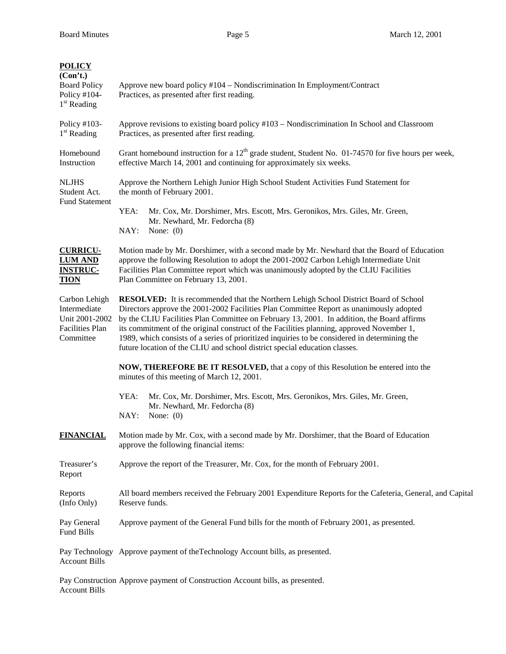| <b>POLICY</b><br>(Con't.)<br><b>Board Policy</b><br>Policy $#104-$<br>$1st$ Reading    | Approve new board policy #104 – Nondiscrimination In Employment/Contract<br>Practices, as presented after first reading.                                                                                                                                                                                                                                                                                                                                                                                                                                         |  |  |
|----------------------------------------------------------------------------------------|------------------------------------------------------------------------------------------------------------------------------------------------------------------------------------------------------------------------------------------------------------------------------------------------------------------------------------------------------------------------------------------------------------------------------------------------------------------------------------------------------------------------------------------------------------------|--|--|
| Policy #103-<br>$1st$ Reading                                                          | Approve revisions to existing board policy #103 - Nondiscrimination In School and Classroom<br>Practices, as presented after first reading.                                                                                                                                                                                                                                                                                                                                                                                                                      |  |  |
| Homebound<br>Instruction                                                               | Grant homebound instruction for a $12th$ grade student, Student No. 01-74570 for five hours per week,<br>effective March 14, 2001 and continuing for approximately six weeks.                                                                                                                                                                                                                                                                                                                                                                                    |  |  |
| <b>NLJHS</b><br>Student Act.<br><b>Fund Statement</b>                                  | Approve the Northern Lehigh Junior High School Student Activities Fund Statement for<br>the month of February 2001.                                                                                                                                                                                                                                                                                                                                                                                                                                              |  |  |
|                                                                                        | YEA:<br>Mr. Cox, Mr. Dorshimer, Mrs. Escott, Mrs. Geronikos, Mrs. Giles, Mr. Green,<br>Mr. Newhard, Mr. Fedorcha (8)<br>NAY:<br>None: $(0)$                                                                                                                                                                                                                                                                                                                                                                                                                      |  |  |
| <b>CURRICU-</b><br><b>LUM AND</b><br><b>INSTRUC-</b><br><b>TION</b>                    | Motion made by Mr. Dorshimer, with a second made by Mr. Newhard that the Board of Education<br>approve the following Resolution to adopt the 2001-2002 Carbon Lehigh Intermediate Unit<br>Facilities Plan Committee report which was unanimously adopted by the CLIU Facilities<br>Plan Committee on February 13, 2001.                                                                                                                                                                                                                                          |  |  |
| Carbon Lehigh<br>Intermediate<br>Unit 2001-2002<br><b>Facilities Plan</b><br>Committee | <b>RESOLVED:</b> It is recommended that the Northern Lehigh School District Board of School<br>Directors approve the 2001-2002 Facilities Plan Committee Report as unanimously adopted<br>by the CLIU Facilities Plan Committee on February 13, 2001. In addition, the Board affirms<br>its commitment of the original construct of the Facilities planning, approved November 1,<br>1989, which consists of a series of prioritized inquiries to be considered in determining the<br>future location of the CLIU and school district special education classes. |  |  |
|                                                                                        | <b>NOW, THEREFORE BE IT RESOLVED, that a copy of this Resolution be entered into the</b><br>minutes of this meeting of March 12, 2001.                                                                                                                                                                                                                                                                                                                                                                                                                           |  |  |
|                                                                                        | YEA:<br>Mr. Cox, Mr. Dorshimer, Mrs. Escott, Mrs. Geronikos, Mrs. Giles, Mr. Green,<br>Mr. Newhard, Mr. Fedorcha (8)<br>NAY:<br>None: $(0)$                                                                                                                                                                                                                                                                                                                                                                                                                      |  |  |
| <b>FINANCIAL</b>                                                                       | Motion made by Mr. Cox, with a second made by Mr. Dorshimer, that the Board of Education<br>approve the following financial items:                                                                                                                                                                                                                                                                                                                                                                                                                               |  |  |
| Treasurer's<br>Report                                                                  | Approve the report of the Treasurer, Mr. Cox, for the month of February 2001.                                                                                                                                                                                                                                                                                                                                                                                                                                                                                    |  |  |
| Reports<br>(Info Only)                                                                 | All board members received the February 2001 Expenditure Reports for the Cafeteria, General, and Capital<br>Reserve funds.                                                                                                                                                                                                                                                                                                                                                                                                                                       |  |  |
| Pay General<br>Fund Bills                                                              | Approve payment of the General Fund bills for the month of February 2001, as presented.                                                                                                                                                                                                                                                                                                                                                                                                                                                                          |  |  |
| <b>Account Bills</b>                                                                   | Pay Technology Approve payment of the Technology Account bills, as presented.                                                                                                                                                                                                                                                                                                                                                                                                                                                                                    |  |  |
|                                                                                        |                                                                                                                                                                                                                                                                                                                                                                                                                                                                                                                                                                  |  |  |

Pay Construction Approve payment of Construction Account bills, as presented. Account Bills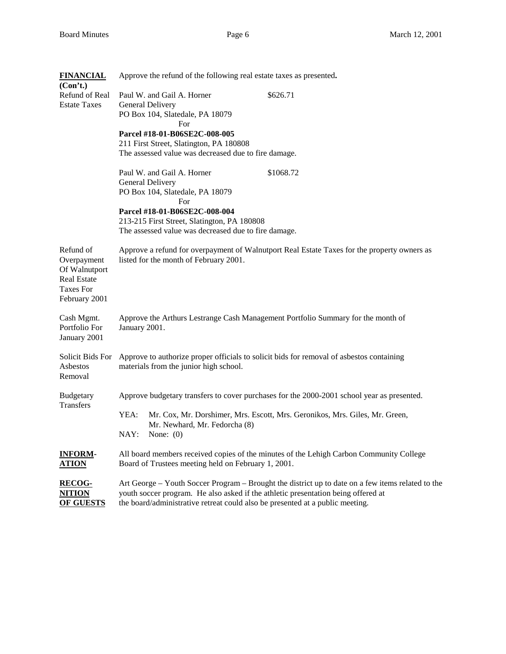| <b>FINANCIAL</b><br>(Con't.)                                                                         | Approve the refund of the following real estate taxes as presented.                                                                                                                                                                                                     |                                                                                                                                                                           |  |
|------------------------------------------------------------------------------------------------------|-------------------------------------------------------------------------------------------------------------------------------------------------------------------------------------------------------------------------------------------------------------------------|---------------------------------------------------------------------------------------------------------------------------------------------------------------------------|--|
| Refund of Real<br><b>Estate Taxes</b>                                                                | Paul W. and Gail A. Horner<br>General Delivery<br>PO Box 104, Slatedale, PA 18079<br>For                                                                                                                                                                                | \$626.71                                                                                                                                                                  |  |
|                                                                                                      | Parcel #18-01-B06SE2C-008-005<br>211 First Street, Slatington, PA 180808<br>The assessed value was decreased due to fire damage.                                                                                                                                        |                                                                                                                                                                           |  |
|                                                                                                      | Paul W. and Gail A. Horner<br>General Delivery<br>PO Box 104, Slatedale, PA 18079<br>For                                                                                                                                                                                | \$1068.72                                                                                                                                                                 |  |
|                                                                                                      | Parcel #18-01-B06SE2C-008-004<br>213-215 First Street, Slatington, PA 180808<br>The assessed value was decreased due to fire damage.                                                                                                                                    |                                                                                                                                                                           |  |
| Refund of<br>Overpayment<br>Of Walnutport<br><b>Real Estate</b><br><b>Taxes For</b><br>February 2001 | Approve a refund for overpayment of Walnutport Real Estate Taxes for the property owners as<br>listed for the month of February 2001.                                                                                                                                   |                                                                                                                                                                           |  |
| Cash Mgmt.<br>Portfolio For<br>January 2001                                                          | Approve the Arthurs Lestrange Cash Management Portfolio Summary for the month of<br>January 2001.                                                                                                                                                                       |                                                                                                                                                                           |  |
| Solicit Bids For<br>Asbestos<br>Removal                                                              | Approve to authorize proper officials to solicit bids for removal of asbestos containing<br>materials from the junior high school.                                                                                                                                      |                                                                                                                                                                           |  |
| <b>Budgetary</b><br><b>Transfers</b>                                                                 | YEA:<br>Mr. Newhard, Mr. Fedorcha (8)<br>NAY:<br>None: $(0)$                                                                                                                                                                                                            | Approve budgetary transfers to cover purchases for the 2000-2001 school year as presented.<br>Mr. Cox, Mr. Dorshimer, Mrs. Escott, Mrs. Geronikos, Mrs. Giles, Mr. Green, |  |
| <b>INFORM-</b><br><u>ATION</u>                                                                       | Board of Trustees meeting held on February 1, 2001.                                                                                                                                                                                                                     | All board members received copies of the minutes of the Lehigh Carbon Community College                                                                                   |  |
| <b>RECOG-</b><br><u>NITION</u><br><b>OF GUESTS</b>                                                   | Art George – Youth Soccer Program – Brought the district up to date on a few items related to the<br>youth soccer program. He also asked if the athletic presentation being offered at<br>the board/administrative retreat could also be presented at a public meeting. |                                                                                                                                                                           |  |